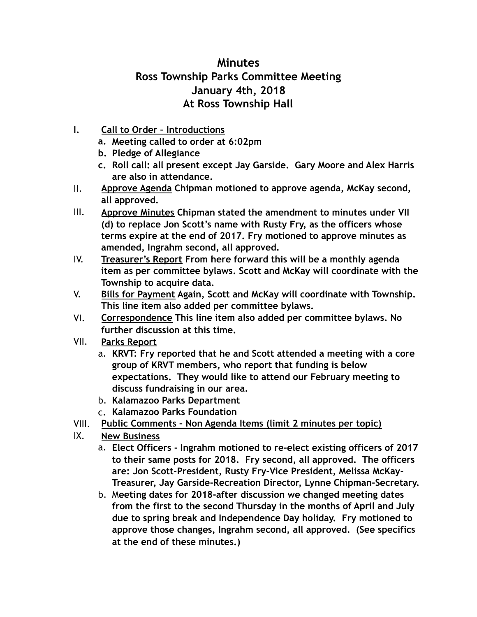## **Minutes Ross Township Parks Committee Meeting January 4th, 2018 At Ross Township Hall**

- **I. Call to Order Introductions** 
	- **a. Meeting called to order at 6:02pm**
	- **b. Pledge of Allegiance**
	- **c. Roll call: all present except Jay Garside. Gary Moore and Alex Harris are also in attendance.**
- II. **Approve Agenda Chipman motioned to approve agenda, McKay second, all approved.**
- III. **Approve Minutes Chipman stated the amendment to minutes under VII (d) to replace Jon Scott's name with Rusty Fry, as the officers whose terms expire at the end of 2017. Fry motioned to approve minutes as amended, Ingrahm second, all approved.**
- IV. **Treasurer's Report From here forward this will be a monthly agenda item as per committee bylaws. Scott and McKay will coordinate with the Township to acquire data.**
- V. **Bills for Payment Again, Scott and McKay will coordinate with Township. This line item also added per committee bylaws.**
- VI. **Correspondence This line item also added per committee bylaws. No further discussion at this time.**
- VII. **Parks Report**
	- a. **KRVT: Fry reported that he and Scott attended a meeting with a core group of KRVT members, who report that funding is below expectations. They would like to attend our February meeting to discuss fundraising in our area.**
	- b. **Kalamazoo Parks Department**
	- c. **Kalamazoo Parks Foundation**
- VIII. **Public Comments Non Agenda Items (limit 2 minutes per topic)**
- IX. **New Business**
	- a. **Elect Officers Ingrahm motioned to re-elect existing officers of 2017 to their same posts for 2018. Fry second, all approved. The officers are: Jon Scott-President, Rusty Fry-Vice President, Melissa McKay-Treasurer, Jay Garside-Recreation Director, Lynne Chipman-Secretary.**
	- b. M**eeting dates for 2018-after discussion we changed meeting dates from the first to the second Thursday in the months of April and July due to spring break and Independence Day holiday. Fry motioned to approve those changes, Ingrahm second, all approved. (See specifics at the end of these minutes.)**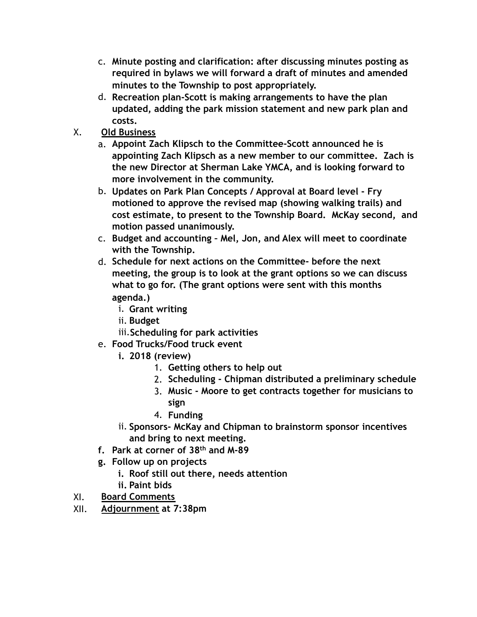- c. **Minute posting and clarification: after discussing minutes posting as required in bylaws we will forward a draft of minutes and amended minutes to the Township to post appropriately.**
- d. **Recreation plan-Scott is making arrangements to have the plan updated, adding the park mission statement and new park plan and costs.**
- X. **Old Business**
	- a. **Appoint Zach Klipsch to the Committee-Scott announced he is appointing Zach Klipsch as a new member to our committee. Zach is the new Director at Sherman Lake YMCA, and is looking forward to more involvement in the community.**
	- b. **Updates on Park Plan Concepts / Approval at Board level Fry motioned to approve the revised map (showing walking trails) and cost estimate, to present to the Township Board. McKay second, and motion passed unanimously.**
	- c. **Budget and accounting Mel, Jon, and Alex will meet to coordinate with the Township.**
	- d. **Schedule for next actions on the Committee- before the next meeting, the group is to look at the grant options so we can discuss what to go for. (The grant options were sent with this months agenda.)**
		- i. **Grant writing**
		- ii. **Budget**
		- iii.**Scheduling for park activities**
	- e. **Food Trucks/Food truck event**
		- **i. 2018 (review)**
			- 1. **Getting others to help out**
			- 2. **Scheduling Chipman distributed a preliminary schedule**
			- 3. **Music Moore to get contracts together for musicians to sign**
			- 4. **Funding**
		- ii. **Sponsors- McKay and Chipman to brainstorm sponsor incentives and bring to next meeting.**
	- **f. Park at corner of 38th and M-89**
	- **g. Follow up on projects** 
		- **i. Roof still out there, needs attention**
		- **ii. Paint bids**
- XI. **Board Comments**
- XII. **Adjournment at 7:38pm**